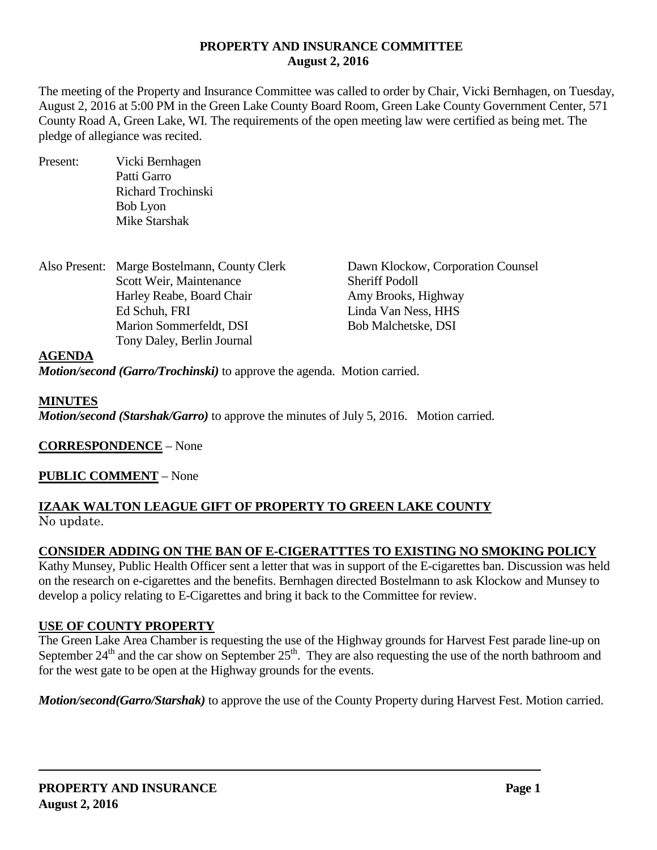## **PROPERTY AND INSURANCE COMMITTEE August 2, 2016**

The meeting of the Property and Insurance Committee was called to order by Chair, Vicki Bernhagen, on Tuesday, August 2, 2016 at 5:00 PM in the Green Lake County Board Room, Green Lake County Government Center, 571 County Road A, Green Lake, WI. The requirements of the open meeting law were certified as being met. The pledge of allegiance was recited.

Present: Vicki Bernhagen Patti Garro Richard Trochinski Bob Lyon Mike Starshak

Also Present: Marge Bostelmann, County Clerk Dawn Klockow, Corporation Counsel Scott Weir, Maintenance Sheriff Podoll Harley Reabe, Board Chair **Amy Brooks**, Highway Ed Schuh, FRI Linda Van Ness, HHS Marion Sommerfeldt, DSI Bob Malchetske, DSI Tony Daley, Berlin Journal

### **AGENDA**

*Motion/second (Garro/Trochinski)* to approve the agenda. Motion carried.

### **MINUTES**

*Motion/second (Starshak/Garro)* to approve the minutes of July 5, 2016. Motion carried.

**CORRESPONDENCE** – None

## **PUBLIC COMMENT** – None

## **IZAAK WALTON LEAGUE GIFT OF PROPERTY TO GREEN LAKE COUNTY** No update.

## **CONSIDER ADDING ON THE BAN OF E-CIGERATTTES TO EXISTING NO SMOKING POLICY**

Kathy Munsey, Public Health Officer sent a letter that was in support of the E-cigarettes ban. Discussion was held on the research on e-cigarettes and the benefits. Bernhagen directed Bostelmann to ask Klockow and Munsey to develop a policy relating to E-Cigarettes and bring it back to the Committee for review.

## **USE OF COUNTY PROPERTY**

The Green Lake Area Chamber is requesting the use of the Highway grounds for Harvest Fest parade line-up on September  $24<sup>th</sup>$  and the car show on September  $25<sup>th</sup>$ . They are also requesting the use of the north bathroom and for the west gate to be open at the Highway grounds for the events.

*Motion/second(Garro/Starshak)* to approve the use of the County Property during Harvest Fest. Motion carried.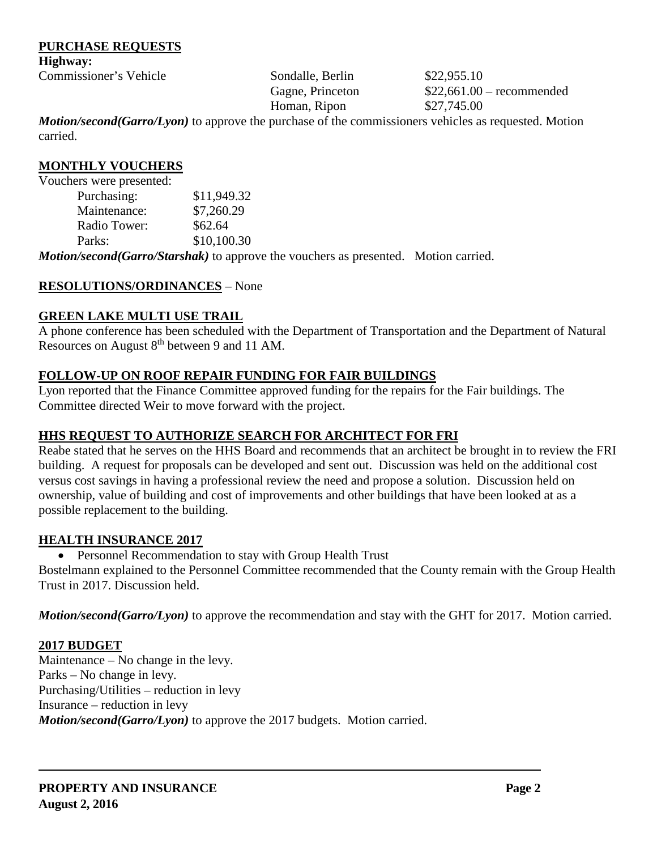### **PURCHASE REQUESTS**

**Highway:**

Commissioner's Vehicle Sondalle, Berlin \$22,955.10

Homan, Ripon \$27,745.00

Gagne, Princeton  $$22,661.00$  – recommended

*Motion/second(Garro/Lyon)* to approve the purchase of the commissioners vehicles as requested. Motion carried.

## **MONTHLY VOUCHERS**

Vouchers were presented:

| Purchasing:  | \$11,949.32 |
|--------------|-------------|
| Maintenance: | \$7,260.29  |
| Radio Tower: | \$62.64     |
| Parks:       | \$10,100.30 |
|              |             |

*Motion/second(Garro/Starshak)* to approve the vouchers as presented. Motion carried.

# **RESOLUTIONS/ORDINANCES** – None

# **GREEN LAKE MULTI USE TRAIL**

A phone conference has been scheduled with the Department of Transportation and the Department of Natural Resources on August  $8<sup>th</sup>$  between 9 and 11 AM.

# **FOLLOW-UP ON ROOF REPAIR FUNDING FOR FAIR BUILDINGS**

Lyon reported that the Finance Committee approved funding for the repairs for the Fair buildings. The Committee directed Weir to move forward with the project.

# **HHS REQUEST TO AUTHORIZE SEARCH FOR ARCHITECT FOR FRI**

Reabe stated that he serves on the HHS Board and recommends that an architect be brought in to review the FRI building. A request for proposals can be developed and sent out. Discussion was held on the additional cost versus cost savings in having a professional review the need and propose a solution. Discussion held on ownership, value of building and cost of improvements and other buildings that have been looked at as a possible replacement to the building.

## **HEALTH INSURANCE 2017**

• Personnel Recommendation to stay with Group Health Trust

Bostelmann explained to the Personnel Committee recommended that the County remain with the Group Health Trust in 2017. Discussion held.

*Motion/second(Garro/Lyon)* to approve the recommendation and stay with the GHT for 2017. Motion carried.

## **2017 BUDGET**

Maintenance – No change in the levy. Parks – No change in levy. Purchasing/Utilities – reduction in levy Insurance – reduction in levy *Motion/second(Garro/Lyon)* to approve the 2017 budgets. Motion carried.